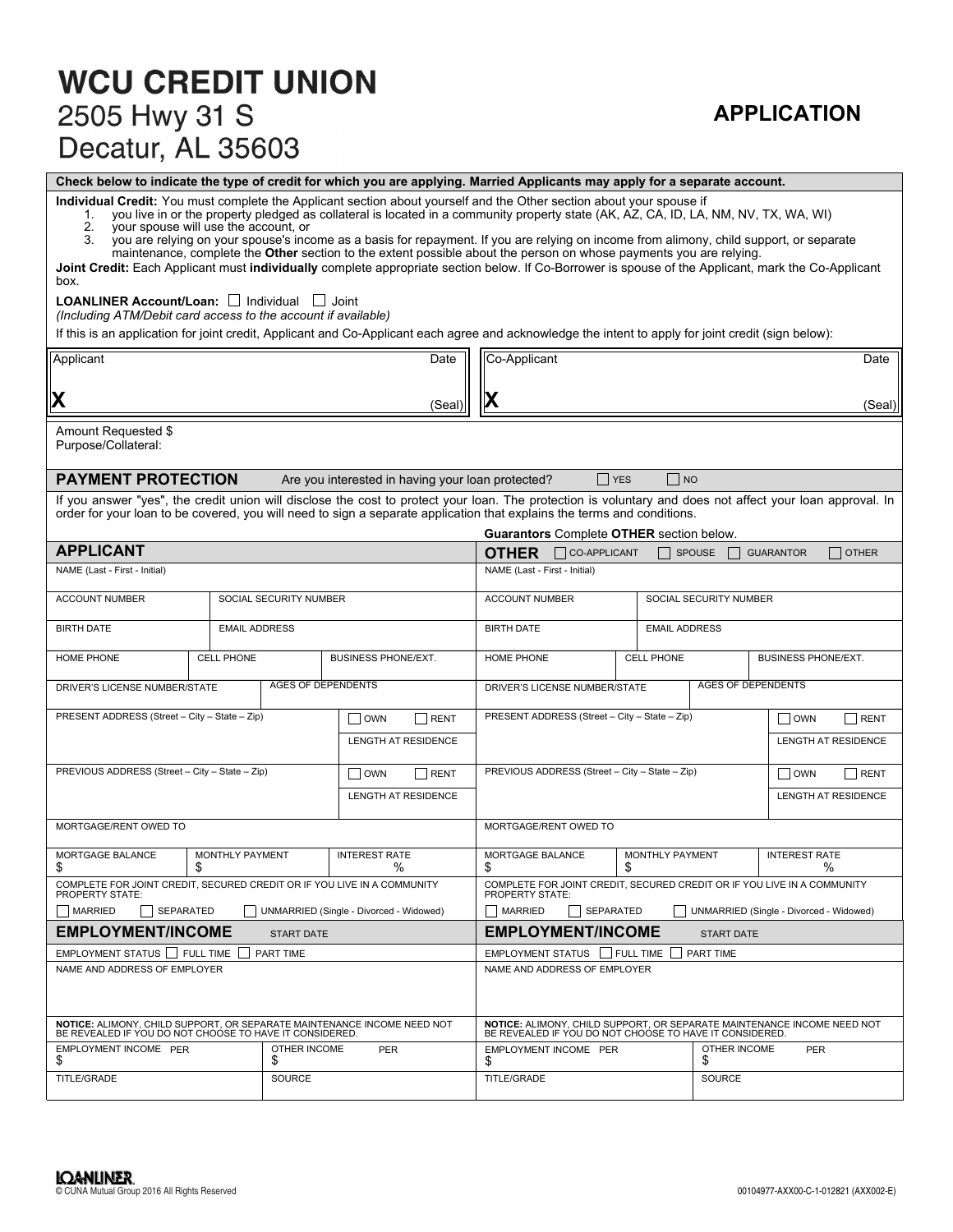# **WCU CREDIT UNION** 2505 Hwy 31 S Decatur, AL 35603

# **APPLICATION**

**Check below to indicate the type of credit for which you are applying. Married Applicants may apply for a separate account.**

**Individual Credit:** You must complete the Applicant section about yourself and the Other section about your spouse if

1. you live in or the property pledged as collateral is located in a community property state (AK, AZ, CA, ID, LA, NM, NV, TX, WA, WI)<br>2. your spouse will use the account. or

2. your spouse will use the account, or<br>3. you are relying on your spouse's ince

you are relying on your spouse's income as a basis for repayment. If you are relying on income from alimony, child support, or separate maintenance, complete the **Other** section to the extent possible about the person on whose payments you are relying.

**Joint Credit:** Each Applicant must **individually** complete appropriate section below. If Co-Borrower is spouse of the Applicant, mark the Co-Applicant box.

#### LOANLINER Account/Loan: **Individual Joint**

*(Including ATM/Debit card access to the account if available)*

If this is an application for joint credit, Applicant and Co-Applicant each agree and acknowledge the intent to apply for joint credit (sign below):

| Applicant                                                                                                                                                                                                                                                                            |                                                     |                           |                                                                                   | Date                                                          | Co-Applicant                                                                                                                       |                                                                                     |                                                          |                            |                           | Date                       |  |  |
|--------------------------------------------------------------------------------------------------------------------------------------------------------------------------------------------------------------------------------------------------------------------------------------|-----------------------------------------------------|---------------------------|-----------------------------------------------------------------------------------|---------------------------------------------------------------|------------------------------------------------------------------------------------------------------------------------------------|-------------------------------------------------------------------------------------|----------------------------------------------------------|----------------------------|---------------------------|----------------------------|--|--|
| X                                                                                                                                                                                                                                                                                    |                                                     |                           |                                                                                   |                                                               |                                                                                                                                    |                                                                                     |                                                          |                            |                           |                            |  |  |
|                                                                                                                                                                                                                                                                                      |                                                     |                           |                                                                                   | (Seal`                                                        |                                                                                                                                    |                                                                                     |                                                          |                            |                           | (Seal)                     |  |  |
| Amount Requested \$<br>Purpose/Collateral:                                                                                                                                                                                                                                           |                                                     |                           |                                                                                   |                                                               |                                                                                                                                    |                                                                                     |                                                          |                            |                           |                            |  |  |
| <b>PAYMENT PROTECTION</b>                                                                                                                                                                                                                                                            |                                                     |                           | Are you interested in having your loan protected?                                 |                                                               |                                                                                                                                    | $\Box$ YES                                                                          |                                                          | $\Box$ NO                  |                           |                            |  |  |
| If you answer "yes", the credit union will disclose the cost to protect your loan. The protection is voluntary and does not affect your loan approval. In<br>order for your loan to be covered, you will need to sign a separate application that explains the terms and conditions. |                                                     |                           |                                                                                   |                                                               |                                                                                                                                    |                                                                                     |                                                          |                            |                           |                            |  |  |
| <b>APPLICANT</b>                                                                                                                                                                                                                                                                     |                                                     |                           |                                                                                   |                                                               |                                                                                                                                    | <b>Guarantors</b> Complete <b>OTHER</b> section below.<br><b>OTHER CO-APPLICANT</b> |                                                          | $\Box$ SPOUSE              | <b>GUARANTOR</b>          | $\Box$ other               |  |  |
| NAME (Last - First - Initial)                                                                                                                                                                                                                                                        |                                                     |                           |                                                                                   |                                                               | NAME (Last - First - Initial)                                                                                                      |                                                                                     |                                                          |                            |                           |                            |  |  |
| <b>ACCOUNT NUMBER</b>                                                                                                                                                                                                                                                                |                                                     | SOCIAL SECURITY NUMBER    |                                                                                   |                                                               | <b>ACCOUNT NUMBER</b>                                                                                                              | SOCIAL SECURITY NUMBER                                                              |                                                          |                            |                           |                            |  |  |
| <b>BIRTH DATE</b>                                                                                                                                                                                                                                                                    | <b>EMAIL ADDRESS</b>                                |                           |                                                                                   |                                                               | <b>BIRTH DATE</b><br><b>EMAIL ADDRESS</b>                                                                                          |                                                                                     |                                                          |                            |                           |                            |  |  |
| HOME PHONE                                                                                                                                                                                                                                                                           | <b>CELL PHONE</b>                                   |                           | <b>BUSINESS PHONE/EXT.</b>                                                        |                                                               | HOME PHONE                                                                                                                         |                                                                                     |                                                          | <b>BUSINESS PHONE/EXT.</b> |                           |                            |  |  |
| DRIVER'S LICENSE NUMBER/STATE                                                                                                                                                                                                                                                        |                                                     | <b>AGES OF DEPENDENTS</b> |                                                                                   |                                                               |                                                                                                                                    | DRIVER'S LICENSE NUMBER/STATE                                                       |                                                          |                            | <b>AGES OF DEPENDENTS</b> |                            |  |  |
| PRESENT ADDRESS (Street - City - State - Zip)                                                                                                                                                                                                                                        |                                                     |                           | OWN                                                                               | RENT                                                          |                                                                                                                                    | PRESENT ADDRESS (Street - City - State - Zip)                                       |                                                          |                            | <b>OWN</b>                | RENT                       |  |  |
|                                                                                                                                                                                                                                                                                      |                                                     |                           | <b>LENGTH AT RESIDENCE</b>                                                        |                                                               |                                                                                                                                    |                                                                                     |                                                          |                            |                           | <b>LENGTH AT RESIDENCE</b> |  |  |
| PREVIOUS ADDRESS (Street - City - State - Zip)<br>$\overline{\overline{\text{OWN}}}$<br>RENT                                                                                                                                                                                         |                                                     |                           |                                                                                   | PREVIOUS ADDRESS (Street - City - State - Zip)<br>$\vert$ OWN |                                                                                                                                    |                                                                                     |                                                          |                            |                           |                            |  |  |
| <b>LENGTH AT RESIDENCE</b>                                                                                                                                                                                                                                                           |                                                     |                           |                                                                                   |                                                               | <b>LENGTH AT RESIDENCE</b>                                                                                                         |                                                                                     |                                                          |                            |                           |                            |  |  |
| MORTGAGE/RENT OWED TO                                                                                                                                                                                                                                                                |                                                     |                           |                                                                                   |                                                               |                                                                                                                                    | MORTGAGE/RENT OWED TO                                                               |                                                          |                            |                           |                            |  |  |
| MORTGAGE BALANCE<br>S                                                                                                                                                                                                                                                                | <b>INTEREST RATE</b><br><b>MONTHLY PAYMENT</b><br>% |                           |                                                                                   |                                                               | MORTGAGE BALANCE<br>\$                                                                                                             |                                                                                     | <b>INTEREST RATE</b><br><b>MONTHLY PAYMENT</b><br>%<br>S |                            |                           |                            |  |  |
| COMPLETE FOR JOINT CREDIT, SECURED CREDIT OR IF YOU LIVE IN A COMMUNITY<br><b>PROPERTY STATE:</b>                                                                                                                                                                                    |                                                     |                           |                                                                                   |                                                               | <b>PROPERTY STATE:</b>                                                                                                             | COMPLETE FOR JOINT CREDIT, SECURED CREDIT OR IF YOU LIVE IN A COMMUNITY             |                                                          |                            |                           |                            |  |  |
| <b>MARRIED</b><br>SEPARATED<br>UNMARRIED (Single - Divorced - Widowed)                                                                                                                                                                                                               |                                                     |                           |                                                                                   |                                                               | MARRIED<br>SEPARATED<br>UNMARRIED (Single - Divorced - Widowed)                                                                    |                                                                                     |                                                          |                            |                           |                            |  |  |
| <b>EMPLOYMENT/INCOME</b><br><b>START DATE</b>                                                                                                                                                                                                                                        |                                                     |                           |                                                                                   |                                                               | <b>EMPLOYMENT/INCOME</b><br><b>START DATE</b>                                                                                      |                                                                                     |                                                          |                            |                           |                            |  |  |
| EMPLOYMENT STATUS   FULL TIME<br>PART TIME<br>NAME AND ADDRESS OF EMPLOYER                                                                                                                                                                                                           |                                                     |                           | EMPLOYMENT STATUS   FULL TIME<br><b>PART TIME</b><br>NAME AND ADDRESS OF EMPLOYER |                                                               |                                                                                                                                    |                                                                                     |                                                          |                            |                           |                            |  |  |
|                                                                                                                                                                                                                                                                                      |                                                     |                           |                                                                                   |                                                               |                                                                                                                                    |                                                                                     |                                                          |                            |                           |                            |  |  |
| NOTICE: ALIMONY, CHILD SUPPORT, OR SEPARATE MAINTENANCE INCOME NEED NOT<br>BE REVEALED IF YOU DO NOT CHOOSE TO HAVE IT CONSIDERED.                                                                                                                                                   |                                                     |                           |                                                                                   |                                                               | NOTICE: ALIMONY, CHILD SUPPORT, OR SEPARATE MAINTENANCE INCOME NEED NOT<br>BE REVEALED IF YOU DO NOT CHOOSE TO HAVE IT CONSIDERED. |                                                                                     |                                                          |                            |                           |                            |  |  |
| EMPLOYMENT INCOME PER<br>S                                                                                                                                                                                                                                                           |                                                     | OTHER INCOME<br>\$        | <b>PER</b>                                                                        |                                                               | \$                                                                                                                                 | <b>OTHER INCOME</b><br>EMPLOYMENT INCOME PER<br>\$                                  |                                                          |                            |                           | <b>PER</b>                 |  |  |
| TITLE/GRADE                                                                                                                                                                                                                                                                          |                                                     | <b>SOURCE</b>             |                                                                                   |                                                               | TITLE/GRADE                                                                                                                        |                                                                                     |                                                          | SOURCE                     |                           |                            |  |  |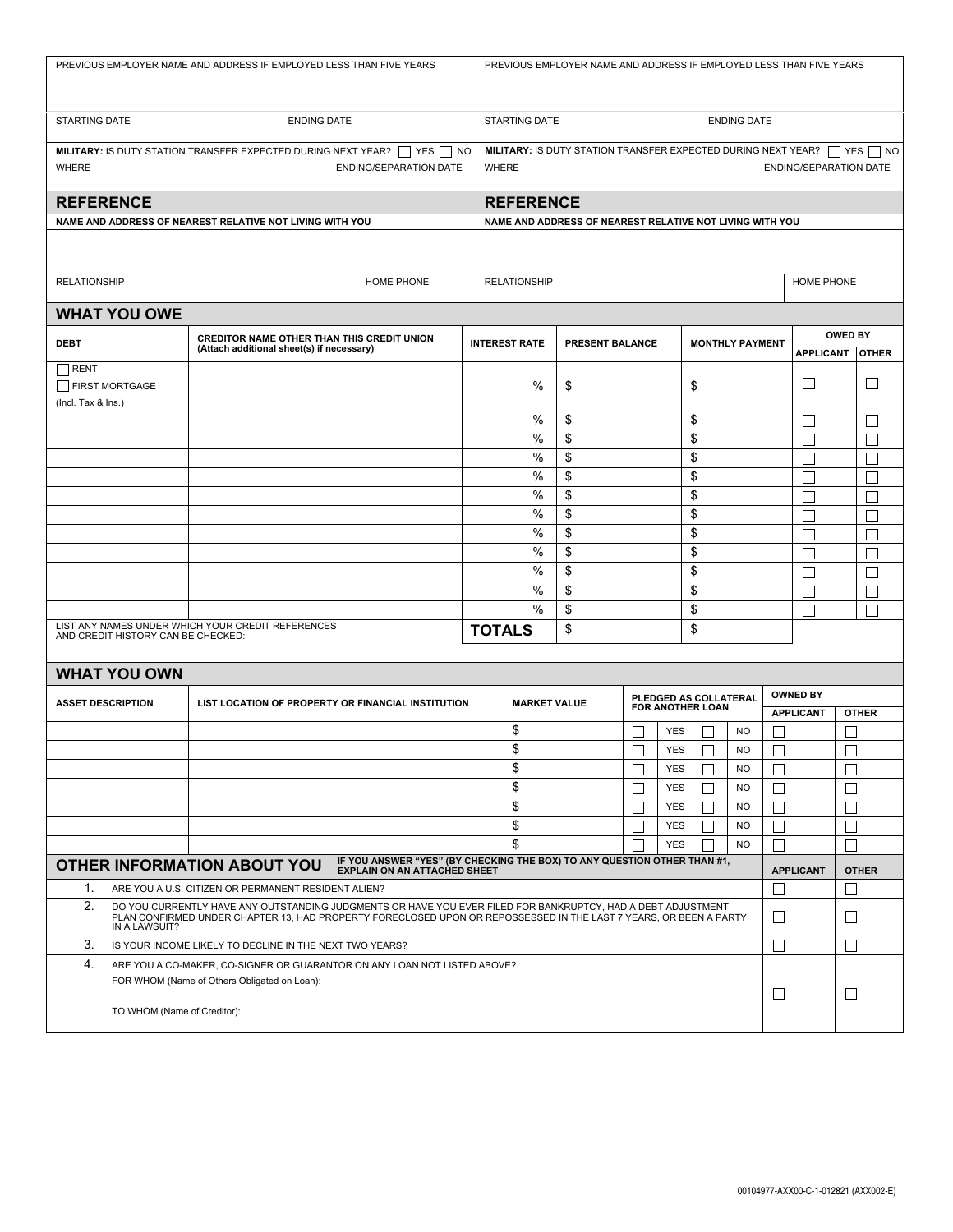| PREVIOUS EMPLOYER NAME AND ADDRESS IF EMPLOYED LESS THAN FIVE YEARS                                                                                           |                                                                                                                                                                                                                                                                                              |                                                                                                                           |    | PREVIOUS EMPLOYER NAME AND ADDRESS IF EMPLOYED LESS THAN FIVE YEARS |                                                          |        |                          |                              |                        |                   |                  |              |
|---------------------------------------------------------------------------------------------------------------------------------------------------------------|----------------------------------------------------------------------------------------------------------------------------------------------------------------------------------------------------------------------------------------------------------------------------------------------|---------------------------------------------------------------------------------------------------------------------------|----|---------------------------------------------------------------------|----------------------------------------------------------|--------|--------------------------|------------------------------|------------------------|-------------------|------------------|--------------|
| STARTING DATE                                                                                                                                                 |                                                                                                                                                                                                                                                                                              | <b>ENDING DATE</b><br><b>STARTING DATE</b><br><b>ENDING DATE</b>                                                          |    |                                                                     |                                                          |        |                          |                              |                        |                   |                  |              |
| <b>MILITARY:</b> IS DUTY STATION TRANSFER EXPECTED DURING NEXT YEAR? $\Box$ YES $\Box$ NO<br><b>WHERE</b>                                                     | <b>ENDING/SEPARATION DATE</b>                                                                                                                                                                                                                                                                | MILITARY: IS DUTY STATION TRANSFER EXPECTED DURING NEXT YEAR?   YES   NO<br><b>WHERE</b><br><b>ENDING/SEPARATION DATE</b> |    |                                                                     |                                                          |        |                          |                              |                        |                   |                  |              |
| <b>REFERENCE</b>                                                                                                                                              |                                                                                                                                                                                                                                                                                              | <b>REFERENCE</b>                                                                                                          |    |                                                                     |                                                          |        |                          |                              |                        |                   |                  |              |
|                                                                                                                                                               | NAME AND ADDRESS OF NEAREST RELATIVE NOT LIVING WITH YOU                                                                                                                                                                                                                                     |                                                                                                                           |    |                                                                     | NAME AND ADDRESS OF NEAREST RELATIVE NOT LIVING WITH YOU |        |                          |                              |                        |                   |                  |              |
|                                                                                                                                                               |                                                                                                                                                                                                                                                                                              |                                                                                                                           |    |                                                                     |                                                          |        |                          |                              |                        |                   |                  |              |
| <b>RELATIONSHIP</b>                                                                                                                                           |                                                                                                                                                                                                                                                                                              | <b>RELATIONSHIP</b>                                                                                                       |    |                                                                     |                                                          |        |                          |                              | HOME PHONE             |                   |                  |              |
| <b>WHAT YOU OWE</b>                                                                                                                                           |                                                                                                                                                                                                                                                                                              |                                                                                                                           |    |                                                                     |                                                          |        |                          |                              |                        |                   |                  |              |
| <b>DEBT</b>                                                                                                                                                   | CREDITOR NAME OTHER THAN THIS CREDIT UNION<br>(Attach additional sheet(s) if necessary)                                                                                                                                                                                                      |                                                                                                                           |    | <b>INTEREST RATE</b><br>PRESENT BALANCE<br><b>MONTHLY PAYMENT</b>   |                                                          |        |                          |                              |                        | <b>OWED BY</b>    |                  |              |
|                                                                                                                                                               |                                                                                                                                                                                                                                                                                              |                                                                                                                           |    |                                                                     |                                                          |        |                          |                              | <b>APPLICANT</b>       | <b>OTHER</b>      |                  |              |
| RENT<br><b>FIRST MORTGAGE</b><br>(Incl. Tax & Ins.)                                                                                                           |                                                                                                                                                                                                                                                                                              |                                                                                                                           |    | %                                                                   | \$                                                       |        |                          | \$                           |                        |                   | $\Box$           |              |
|                                                                                                                                                               |                                                                                                                                                                                                                                                                                              |                                                                                                                           |    | %                                                                   | \$                                                       |        |                          | \$                           |                        |                   | Г                |              |
|                                                                                                                                                               |                                                                                                                                                                                                                                                                                              |                                                                                                                           |    | %                                                                   | \$                                                       |        |                          | \$                           |                        |                   | Г                | Г            |
|                                                                                                                                                               |                                                                                                                                                                                                                                                                                              |                                                                                                                           |    | $\%$                                                                | \$                                                       |        |                          | \$                           |                        |                   | Г                | $\Box$       |
|                                                                                                                                                               |                                                                                                                                                                                                                                                                                              |                                                                                                                           |    |                                                                     | \$                                                       |        |                          | \$                           |                        |                   | П                | Г            |
|                                                                                                                                                               |                                                                                                                                                                                                                                                                                              |                                                                                                                           |    | %                                                                   | \$                                                       |        |                          | \$                           |                        | Г                 | $\mathbf{L}$     |              |
|                                                                                                                                                               |                                                                                                                                                                                                                                                                                              |                                                                                                                           |    | %                                                                   | \$                                                       |        |                          | \$                           |                        | П                 | $\Box$           |              |
|                                                                                                                                                               |                                                                                                                                                                                                                                                                                              |                                                                                                                           |    | %                                                                   | \$                                                       |        |                          | \$                           |                        |                   | $\mathbf{L}$     |              |
|                                                                                                                                                               |                                                                                                                                                                                                                                                                                              |                                                                                                                           |    | %<br>%                                                              | \$<br>\$                                                 |        |                          | \$<br>\$                     |                        |                   | Г                |              |
|                                                                                                                                                               |                                                                                                                                                                                                                                                                                              |                                                                                                                           |    | %                                                                   | \$                                                       |        |                          | \$                           |                        |                   | П                |              |
|                                                                                                                                                               |                                                                                                                                                                                                                                                                                              |                                                                                                                           |    | %                                                                   | \$                                                       |        |                          | \$                           |                        |                   | Г<br>П           | Г            |
| LIST ANY NAMES UNDER WHICH YOUR CREDIT REFERENCES<br>AND CREDIT HISTORY CAN BE CHECKED:                                                                       | <b>TOTALS</b>                                                                                                                                                                                                                                                                                |                                                                                                                           | \$ |                                                                     |                                                          | \$     |                          |                              |                        |                   |                  |              |
|                                                                                                                                                               |                                                                                                                                                                                                                                                                                              |                                                                                                                           |    |                                                                     |                                                          |        |                          |                              |                        |                   |                  |              |
| <b>WHAT YOU OWN</b>                                                                                                                                           |                                                                                                                                                                                                                                                                                              |                                                                                                                           |    |                                                                     |                                                          |        |                          |                              |                        |                   |                  |              |
| <b>ASSET DESCRIPTION</b>                                                                                                                                      | LIST LOCATION OF PROPERTY OR FINANCIAL INSTITUTION                                                                                                                                                                                                                                           |                                                                                                                           |    | <b>MARKET VALUE</b>                                                 |                                                          |        |                          | PLEDGED AS COLLATERAL        |                        |                   | <b>OWNED BY</b>  |              |
|                                                                                                                                                               |                                                                                                                                                                                                                                                                                              |                                                                                                                           |    |                                                                     |                                                          |        | <b>FOR ANOTHER LOAN</b>  |                              |                        | <b>APPLICANT</b>  | <b>OTHER</b>     |              |
|                                                                                                                                                               |                                                                                                                                                                                                                                                                                              |                                                                                                                           |    | \$                                                                  |                                                          |        | <b>YES</b>               |                              | <b>NO</b>              | $\mathsf{L}$      |                  |              |
|                                                                                                                                                               |                                                                                                                                                                                                                                                                                              |                                                                                                                           |    | \$                                                                  |                                                          | $\Box$ | YES                      | $\Box$                       | <b>NO</b>              | $\Box$            |                  | $\Box$       |
|                                                                                                                                                               |                                                                                                                                                                                                                                                                                              |                                                                                                                           |    | \$                                                                  |                                                          |        | <b>YES</b>               | П                            | <b>NO</b>              | П                 |                  |              |
|                                                                                                                                                               |                                                                                                                                                                                                                                                                                              |                                                                                                                           |    | \$<br>\$                                                            |                                                          |        | <b>YES</b>               | $\mathbf{L}$                 | <b>NO</b>              | П                 |                  |              |
|                                                                                                                                                               |                                                                                                                                                                                                                                                                                              |                                                                                                                           |    | \$                                                                  |                                                          |        | <b>YES</b><br><b>YES</b> | $\mathbf{L}$<br>$\mathbf{I}$ | <b>NO</b><br><b>NO</b> | $\mathbf{L}$      |                  |              |
|                                                                                                                                                               |                                                                                                                                                                                                                                                                                              |                                                                                                                           |    | \$                                                                  |                                                          |        | <b>YES</b>               |                              | <b>NO</b>              |                   |                  |              |
| IF YOU ANSWER "YES" (BY CHECKING THE BOX) TO ANY QUESTION OTHER THAN #1,<br><b>OTHER INFORMATION ABOUT YOU</b>                                                |                                                                                                                                                                                                                                                                                              |                                                                                                                           |    |                                                                     |                                                          |        |                          |                              |                        |                   |                  |              |
| 1.                                                                                                                                                            | ARE YOU A U.S. CITIZEN OR PERMANENT RESIDENT ALIEN?                                                                                                                                                                                                                                          | <b>EXPLAIN ON AN ATTACHED SHEET</b>                                                                                       |    |                                                                     |                                                          |        |                          |                              |                        | $\mathsf{L}$      | <b>APPLICANT</b> | <b>OTHER</b> |
| 2.                                                                                                                                                            |                                                                                                                                                                                                                                                                                              |                                                                                                                           |    |                                                                     |                                                          |        |                          |                              |                        |                   |                  |              |
| IN A LAWSUIT?                                                                                                                                                 | DO YOU CURRENTLY HAVE ANY OUTSTANDING JUDGMENTS OR HAVE YOU EVER FILED FOR BANKRUPTCY, HAD A DEBT ADJUSTMENT<br>PLAN CONFIRMED UNDER CHAPTER 13, HAD PROPERTY FORECLOSED UPON OR REPOSSESSED IN THE LAST 7 YEARS, OR BEEN A PARTY<br>IS YOUR INCOME LIKELY TO DECLINE IN THE NEXT TWO YEARS? |                                                                                                                           |    |                                                                     |                                                          |        |                          |                              |                        | $\Box$            |                  | $\Box$       |
| 3.                                                                                                                                                            |                                                                                                                                                                                                                                                                                              |                                                                                                                           |    |                                                                     |                                                          |        |                          |                              |                        | $\vert \ \ \vert$ |                  | $\perp$      |
| 4.<br>ARE YOU A CO-MAKER, CO-SIGNER OR GUARANTOR ON ANY LOAN NOT LISTED ABOVE?<br>FOR WHOM (Name of Others Obligated on Loan):<br>TO WHOM (Name of Creditor): |                                                                                                                                                                                                                                                                                              |                                                                                                                           |    |                                                                     |                                                          |        |                          |                              | $\Box$                 |                   | $\Box$           |              |